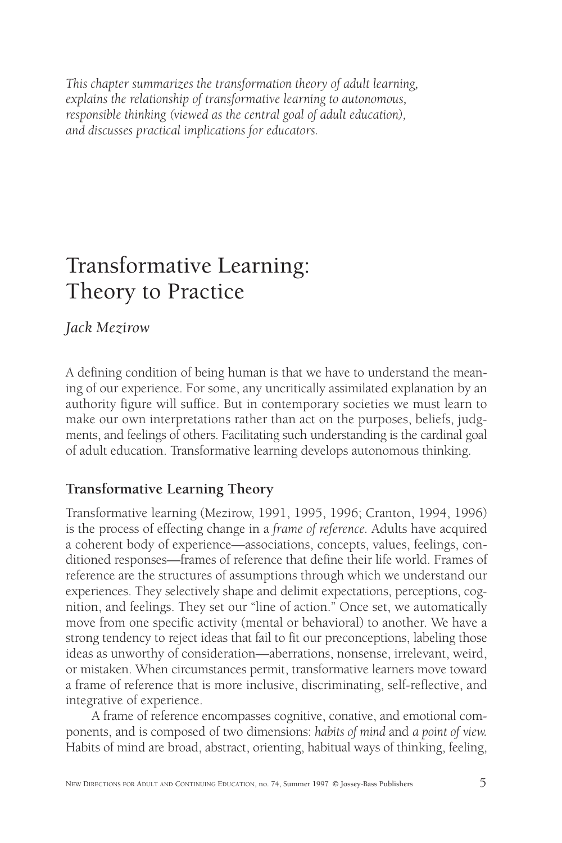*This chapter summarizes the transformation theory of adult learning, explains the relationship of transformative learning to autonomous, responsible thinking (viewed as the central goal of adult education), and discusses practical implications for educators.*

# Transformative Learning: Theory to Practice

*Jack Mezirow*

A defining condition of being human is that we have to understand the meaning of our experience. For some, any uncritically assimilated explanation by an authority figure will suffice. But in contemporary societies we must learn to make our own interpretations rather than act on the purposes, beliefs, judgments, and feelings of others. Facilitating such understanding is the cardinal goal of adult education. Transformative learning develops autonomous thinking.

# **Transformative Learning Theory**

Transformative learning (Mezirow, 1991, 1995, 1996; Cranton, 1994, 1996) is the process of effecting change in a *frame of reference.* Adults have acquired a coherent body of experience—associations, concepts, values, feelings, conditioned responses—frames of reference that define their life world. Frames of reference are the structures of assumptions through which we understand our experiences. They selectively shape and delimit expectations, perceptions, cognition, and feelings. They set our "line of action." Once set, we automatically move from one specific activity (mental or behavioral) to another. We have a strong tendency to reject ideas that fail to fit our preconceptions, labeling those ideas as unworthy of consideration—aberrations, nonsense, irrelevant, weird, or mistaken. When circumstances permit, transformative learners move toward a frame of reference that is more inclusive, discriminating, self-reflective, and integrative of experience.

A frame of reference encompasses cognitive, conative, and emotional components, and is composed of two dimensions: *habits of mind* and *a point of view.* Habits of mind are broad, abstract, orienting, habitual ways of thinking, feeling,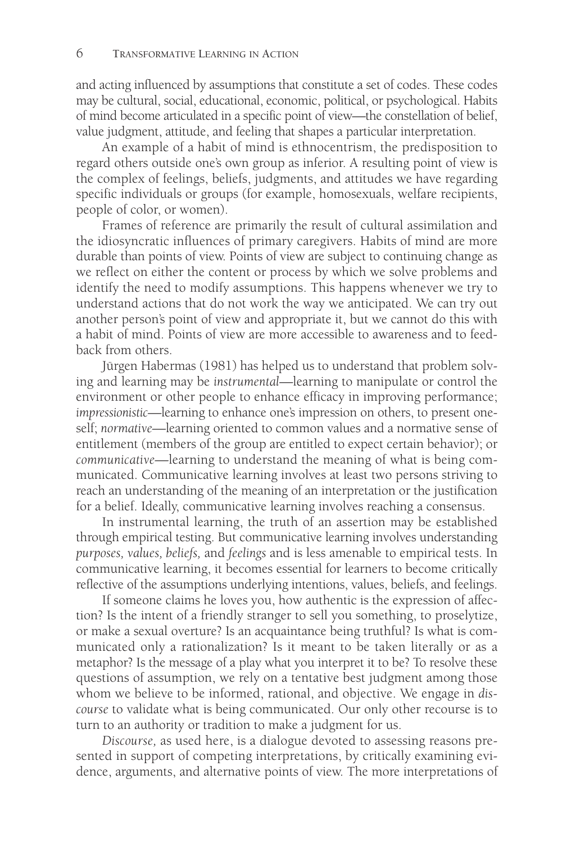and acting influenced by assumptions that constitute a set of codes. These codes may be cultural, social, educational, economic, political, or psychological. Habits of mind become articulated in a specific point of view—the constellation of belief, value judgment, attitude, and feeling that shapes a particular interpretation.

An example of a habit of mind is ethnocentrism, the predisposition to regard others outside one's own group as inferior. A resulting point of view is the complex of feelings, beliefs, judgments, and attitudes we have regarding specific individuals or groups (for example, homosexuals, welfare recipients, people of color, or women).

Frames of reference are primarily the result of cultural assimilation and the idiosyncratic influences of primary caregivers. Habits of mind are more durable than points of view. Points of view are subject to continuing change as we reflect on either the content or process by which we solve problems and identify the need to modify assumptions. This happens whenever we try to understand actions that do not work the way we anticipated. We can try out another person's point of view and appropriate it, but we cannot do this with a habit of mind. Points of view are more accessible to awareness and to feedback from others.

Jürgen Habermas (1981) has helped us to understand that problem solving and learning may be *instrumental—*learning to manipulate or control the environment or other people to enhance efficacy in improving performance; *impressionistic—*learning to enhance one's impression on others, to present oneself; *normative—*learning oriented to common values and a normative sense of entitlement (members of the group are entitled to expect certain behavior); or *communicative—*learning to understand the meaning of what is being communicated. Communicative learning involves at least two persons striving to reach an understanding of the meaning of an interpretation or the justification for a belief. Ideally, communicative learning involves reaching a consensus.

In instrumental learning, the truth of an assertion may be established through empirical testing. But communicative learning involves understanding *purposes, values, beliefs,* and *feelings* and is less amenable to empirical tests. In communicative learning, it becomes essential for learners to become critically reflective of the assumptions underlying intentions, values, beliefs, and feelings.

If someone claims he loves you, how authentic is the expression of affection? Is the intent of a friendly stranger to sell you something, to proselytize, or make a sexual overture? Is an acquaintance being truthful? Is what is communicated only a rationalization? Is it meant to be taken literally or as a metaphor? Is the message of a play what you interpret it to be? To resolve these questions of assumption, we rely on a tentative best judgment among those whom we believe to be informed, rational, and objective. We engage in *discourse* to validate what is being communicated. Our only other recourse is to turn to an authority or tradition to make a judgment for us.

*Discourse,* as used here, is a dialogue devoted to assessing reasons presented in support of competing interpretations, by critically examining evidence, arguments, and alternative points of view. The more interpretations of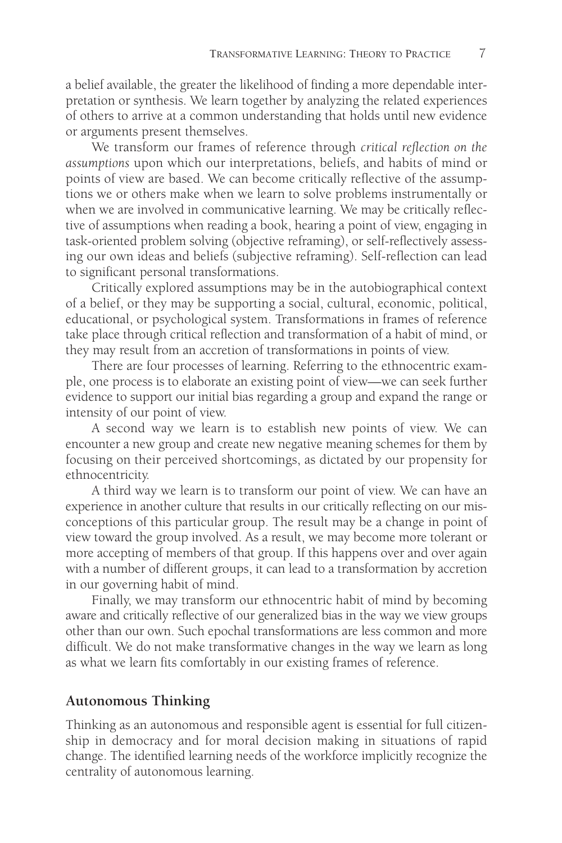a belief available, the greater the likelihood of finding a more dependable interpretation or synthesis. We learn together by analyzing the related experiences of others to arrive at a common understanding that holds until new evidence or arguments present themselves.

We transform our frames of reference through *critical reflection on the assumptions* upon which our interpretations, beliefs, and habits of mind or points of view are based. We can become critically reflective of the assumptions we or others make when we learn to solve problems instrumentally or when we are involved in communicative learning. We may be critically reflective of assumptions when reading a book, hearing a point of view, engaging in task-oriented problem solving (objective reframing), or self-reflectively assessing our own ideas and beliefs (subjective reframing). Self-reflection can lead to significant personal transformations.

Critically explored assumptions may be in the autobiographical context of a belief, or they may be supporting a social, cultural, economic, political, educational, or psychological system. Transformations in frames of reference take place through critical reflection and transformation of a habit of mind, or they may result from an accretion of transformations in points of view.

There are four processes of learning. Referring to the ethnocentric example, one process is to elaborate an existing point of view—we can seek further evidence to support our initial bias regarding a group and expand the range or intensity of our point of view.

A second way we learn is to establish new points of view. We can encounter a new group and create new negative meaning schemes for them by focusing on their perceived shortcomings, as dictated by our propensity for ethnocentricity.

A third way we learn is to transform our point of view. We can have an experience in another culture that results in our critically reflecting on our misconceptions of this particular group. The result may be a change in point of view toward the group involved. As a result, we may become more tolerant or more accepting of members of that group. If this happens over and over again with a number of different groups, it can lead to a transformation by accretion in our governing habit of mind.

Finally, we may transform our ethnocentric habit of mind by becoming aware and critically reflective of our generalized bias in the way we view groups other than our own. Such epochal transformations are less common and more difficult. We do not make transformative changes in the way we learn as long as what we learn fits comfortably in our existing frames of reference.

# **Autonomous Thinking**

Thinking as an autonomous and responsible agent is essential for full citizenship in democracy and for moral decision making in situations of rapid change. The identified learning needs of the workforce implicitly recognize the centrality of autonomous learning.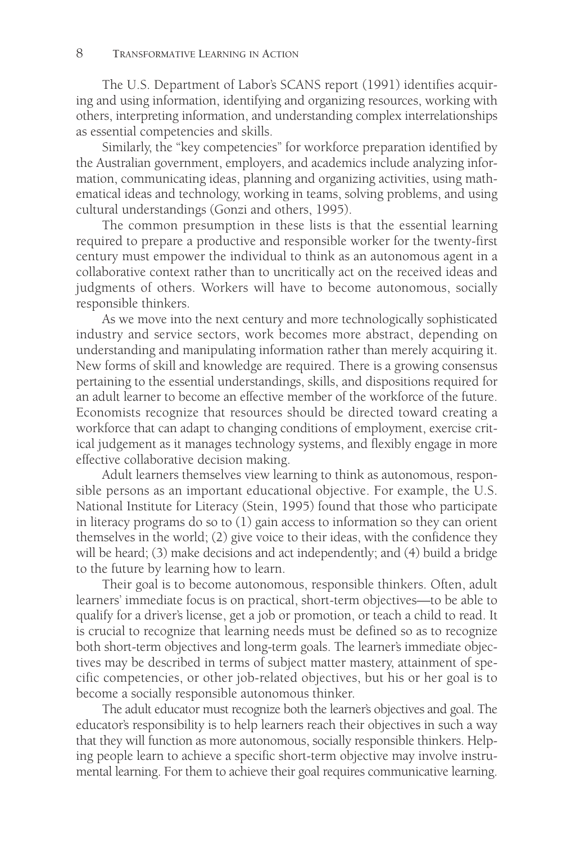The U.S. Department of Labor's SCANS report (1991) identifies acquiring and using information, identifying and organizing resources, working with others, interpreting information, and understanding complex interrelationships as essential competencies and skills.

Similarly, the "key competencies" for workforce preparation identified by the Australian government, employers, and academics include analyzing information, communicating ideas, planning and organizing activities, using mathematical ideas and technology, working in teams, solving problems, and using cultural understandings (Gonzi and others, 1995).

The common presumption in these lists is that the essential learning required to prepare a productive and responsible worker for the twenty-first century must empower the individual to think as an autonomous agent in a collaborative context rather than to uncritically act on the received ideas and judgments of others. Workers will have to become autonomous, socially responsible thinkers.

As we move into the next century and more technologically sophisticated industry and service sectors, work becomes more abstract, depending on understanding and manipulating information rather than merely acquiring it. New forms of skill and knowledge are required. There is a growing consensus pertaining to the essential understandings, skills, and dispositions required for an adult learner to become an effective member of the workforce of the future. Economists recognize that resources should be directed toward creating a workforce that can adapt to changing conditions of employment, exercise critical judgement as it manages technology systems, and flexibly engage in more effective collaborative decision making.

Adult learners themselves view learning to think as autonomous, responsible persons as an important educational objective. For example, the U.S. National Institute for Literacy (Stein, 1995) found that those who participate in literacy programs do so to (1) gain access to information so they can orient themselves in the world; (2) give voice to their ideas, with the confidence they will be heard; (3) make decisions and act independently; and (4) build a bridge to the future by learning how to learn.

Their goal is to become autonomous, responsible thinkers. Often, adult learners' immediate focus is on practical, short-term objectives—to be able to qualify for a driver's license, get a job or promotion, or teach a child to read. It is crucial to recognize that learning needs must be defined so as to recognize both short-term objectives and long-term goals. The learner's immediate objectives may be described in terms of subject matter mastery, attainment of specific competencies, or other job-related objectives, but his or her goal is to become a socially responsible autonomous thinker.

The adult educator must recognize both the learner's objectives and goal. The educator's responsibility is to help learners reach their objectives in such a way that they will function as more autonomous, socially responsible thinkers. Helping people learn to achieve a specific short-term objective may involve instrumental learning. For them to achieve their goal requires communicative learning.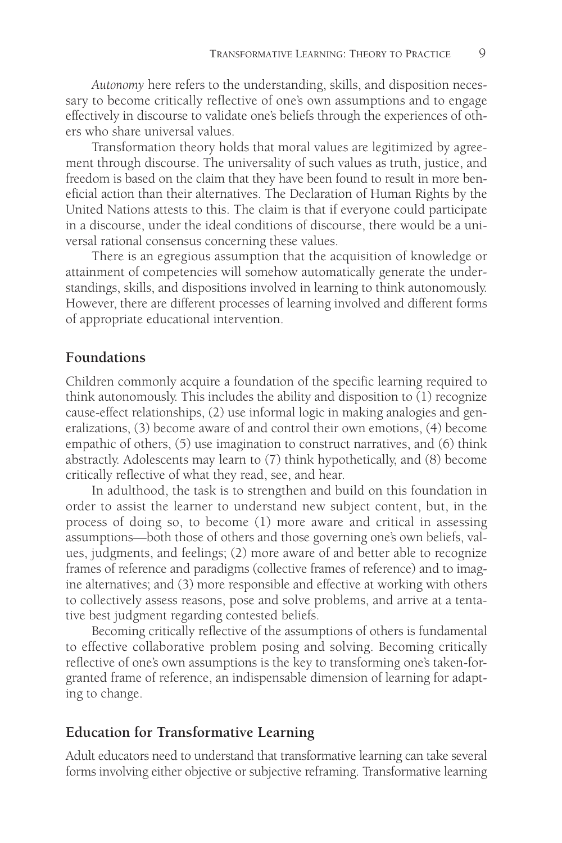*Autonomy* here refers to the understanding, skills, and disposition necessary to become critically reflective of one's own assumptions and to engage effectively in discourse to validate one's beliefs through the experiences of others who share universal values.

Transformation theory holds that moral values are legitimized by agreement through discourse. The universality of such values as truth, justice, and freedom is based on the claim that they have been found to result in more beneficial action than their alternatives. The Declaration of Human Rights by the United Nations attests to this. The claim is that if everyone could participate in a discourse, under the ideal conditions of discourse, there would be a universal rational consensus concerning these values.

There is an egregious assumption that the acquisition of knowledge or attainment of competencies will somehow automatically generate the understandings, skills, and dispositions involved in learning to think autonomously. However, there are different processes of learning involved and different forms of appropriate educational intervention.

### **Foundations**

Children commonly acquire a foundation of the specific learning required to think autonomously. This includes the ability and disposition to (1) recognize cause-effect relationships, (2) use informal logic in making analogies and generalizations, (3) become aware of and control their own emotions, (4) become empathic of others, (5) use imagination to construct narratives, and (6) think abstractly. Adolescents may learn to (7) think hypothetically, and (8) become critically reflective of what they read, see, and hear.

In adulthood, the task is to strengthen and build on this foundation in order to assist the learner to understand new subject content, but, in the process of doing so, to become (1) more aware and critical in assessing assumptions—both those of others and those governing one's own beliefs, values, judgments, and feelings; (2) more aware of and better able to recognize frames of reference and paradigms (collective frames of reference) and to imagine alternatives; and (3) more responsible and effective at working with others to collectively assess reasons, pose and solve problems, and arrive at a tentative best judgment regarding contested beliefs.

Becoming critically reflective of the assumptions of others is fundamental to effective collaborative problem posing and solving. Becoming critically reflective of one's own assumptions is the key to transforming one's taken-forgranted frame of reference, an indispensable dimension of learning for adapting to change.

#### **Education for Transformative Learning**

Adult educators need to understand that transformative learning can take several forms involving either objective or subjective reframing. Transformative learning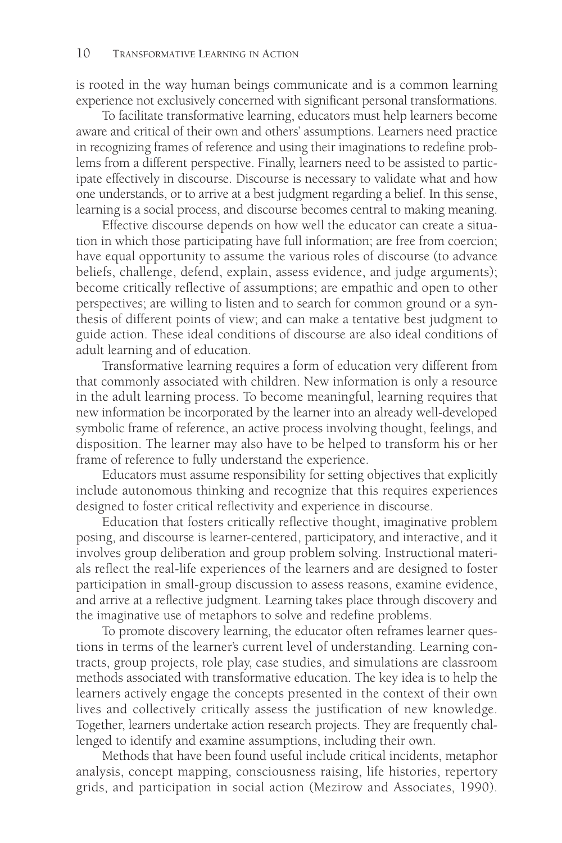is rooted in the way human beings communicate and is a common learning experience not exclusively concerned with significant personal transformations.

To facilitate transformative learning, educators must help learners become aware and critical of their own and others' assumptions. Learners need practice in recognizing frames of reference and using their imaginations to redefine problems from a different perspective. Finally, learners need to be assisted to participate effectively in discourse. Discourse is necessary to validate what and how one understands, or to arrive at a best judgment regarding a belief. In this sense, learning is a social process, and discourse becomes central to making meaning.

Effective discourse depends on how well the educator can create a situation in which those participating have full information; are free from coercion; have equal opportunity to assume the various roles of discourse (to advance beliefs, challenge, defend, explain, assess evidence, and judge arguments); become critically reflective of assumptions; are empathic and open to other perspectives; are willing to listen and to search for common ground or a synthesis of different points of view; and can make a tentative best judgment to guide action. These ideal conditions of discourse are also ideal conditions of adult learning and of education.

Transformative learning requires a form of education very different from that commonly associated with children. New information is only a resource in the adult learning process. To become meaningful, learning requires that new information be incorporated by the learner into an already well-developed symbolic frame of reference, an active process involving thought, feelings, and disposition. The learner may also have to be helped to transform his or her frame of reference to fully understand the experience.

Educators must assume responsibility for setting objectives that explicitly include autonomous thinking and recognize that this requires experiences designed to foster critical reflectivity and experience in discourse.

Education that fosters critically reflective thought, imaginative problem posing, and discourse is learner-centered, participatory, and interactive, and it involves group deliberation and group problem solving. Instructional materials reflect the real-life experiences of the learners and are designed to foster participation in small-group discussion to assess reasons, examine evidence, and arrive at a reflective judgment. Learning takes place through discovery and the imaginative use of metaphors to solve and redefine problems.

To promote discovery learning, the educator often reframes learner questions in terms of the learner's current level of understanding. Learning contracts, group projects, role play, case studies, and simulations are classroom methods associated with transformative education. The key idea is to help the learners actively engage the concepts presented in the context of their own lives and collectively critically assess the justification of new knowledge. Together, learners undertake action research projects. They are frequently challenged to identify and examine assumptions, including their own.

Methods that have been found useful include critical incidents, metaphor analysis, concept mapping, consciousness raising, life histories, repertory grids, and participation in social action (Mezirow and Associates, 1990).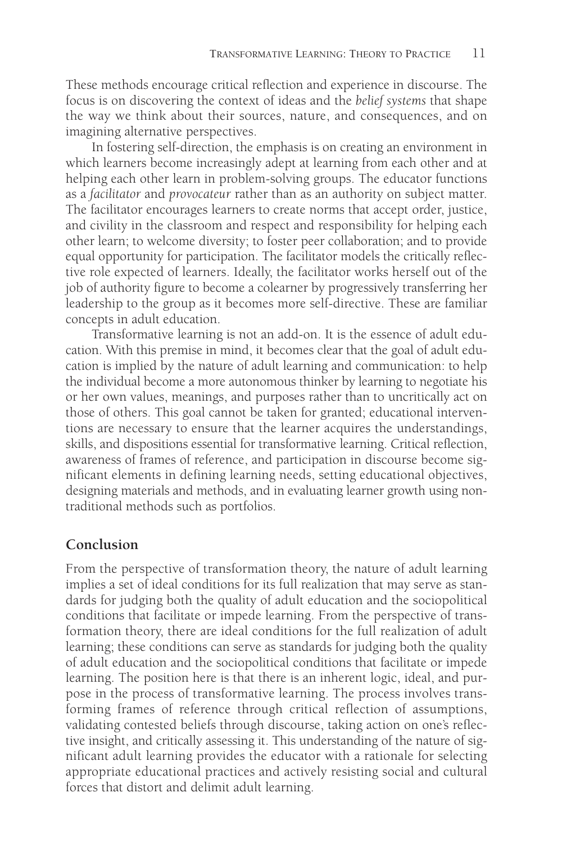These methods encourage critical reflection and experience in discourse. The focus is on discovering the context of ideas and the *belief systems* that shape the way we think about their sources, nature, and consequences, and on imagining alternative perspectives.

In fostering self-direction, the emphasis is on creating an environment in which learners become increasingly adept at learning from each other and at helping each other learn in problem-solving groups. The educator functions as a *facilitator* and *provocateur* rather than as an authority on subject matter. The facilitator encourages learners to create norms that accept order, justice, and civility in the classroom and respect and responsibility for helping each other learn; to welcome diversity; to foster peer collaboration; and to provide equal opportunity for participation. The facilitator models the critically reflective role expected of learners. Ideally, the facilitator works herself out of the job of authority figure to become a colearner by progressively transferring her leadership to the group as it becomes more self-directive. These are familiar concepts in adult education.

Transformative learning is not an add-on. It is the essence of adult education. With this premise in mind, it becomes clear that the goal of adult education is implied by the nature of adult learning and communication: to help the individual become a more autonomous thinker by learning to negotiate his or her own values, meanings, and purposes rather than to uncritically act on those of others. This goal cannot be taken for granted; educational interventions are necessary to ensure that the learner acquires the understandings, skills, and dispositions essential for transformative learning. Critical reflection, awareness of frames of reference, and participation in discourse become significant elements in defining learning needs, setting educational objectives, designing materials and methods, and in evaluating learner growth using nontraditional methods such as portfolios.

# **Conclusion**

From the perspective of transformation theory, the nature of adult learning implies a set of ideal conditions for its full realization that may serve as standards for judging both the quality of adult education and the sociopolitical conditions that facilitate or impede learning. From the perspective of transformation theory, there are ideal conditions for the full realization of adult learning; these conditions can serve as standards for judging both the quality of adult education and the sociopolitical conditions that facilitate or impede learning. The position here is that there is an inherent logic, ideal, and purpose in the process of transformative learning. The process involves transforming frames of reference through critical reflection of assumptions, validating contested beliefs through discourse, taking action on one's reflective insight, and critically assessing it. This understanding of the nature of significant adult learning provides the educator with a rationale for selecting appropriate educational practices and actively resisting social and cultural forces that distort and delimit adult learning.